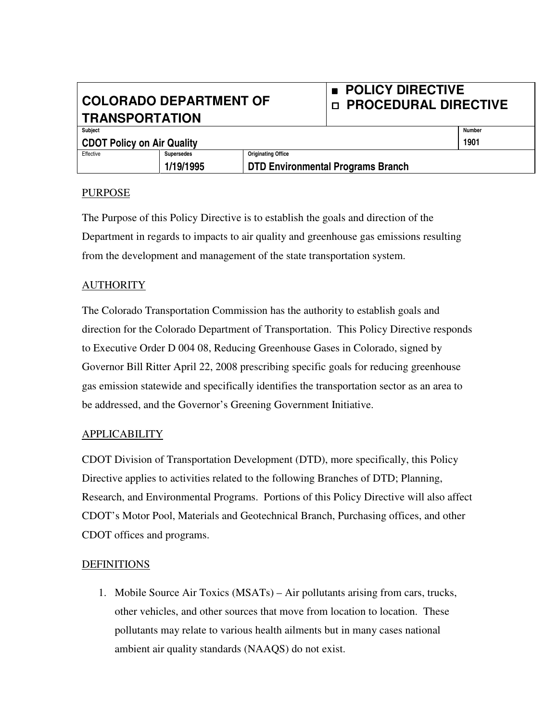# **COLORADO DEPARTMENT OF TRANSPORTATION**

## **POLICY DIRECTIVE PROCEDURAL DIRECTIVE**

| Subject                           |            |                                          | Number |
|-----------------------------------|------------|------------------------------------------|--------|
| <b>CDOT Policy on Air Quality</b> |            |                                          | 1901   |
| Effective                         | Supersedes | <b>Originating Office</b>                |        |
|                                   | 1/19/1995  | <b>DTD Environmental Programs Branch</b> |        |
|                                   |            |                                          |        |

#### PURPOSE

The Purpose of this Policy Directive is to establish the goals and direction of the Department in regards to impacts to air quality and greenhouse gas emissions resulting from the development and management of the state transportation system.

### AUTHORITY

The Colorado Transportation Commission has the authority to establish goals and direction for the Colorado Department of Transportation. This Policy Directive responds to Executive Order D 004 08, Reducing Greenhouse Gases in Colorado, signed by Governor Bill Ritter April 22, 2008 prescribing specific goals for reducing greenhouse gas emission statewide and specifically identifies the transportation sector as an area to be addressed, and the Governor's Greening Government Initiative.

#### APPLICABILITY

CDOT Division of Transportation Development (DTD), more specifically, this Policy Directive applies to activities related to the following Branches of DTD; Planning, Research, and Environmental Programs. Portions of this Policy Directive will also affect CDOT's Motor Pool, Materials and Geotechnical Branch, Purchasing offices, and other CDOT offices and programs.

#### **DEFINITIONS**

1. Mobile Source Air Toxics (MSATs) – Air pollutants arising from cars, trucks, other vehicles, and other sources that move from location to location. These pollutants may relate to various health ailments but in many cases national ambient air quality standards (NAAQS) do not exist.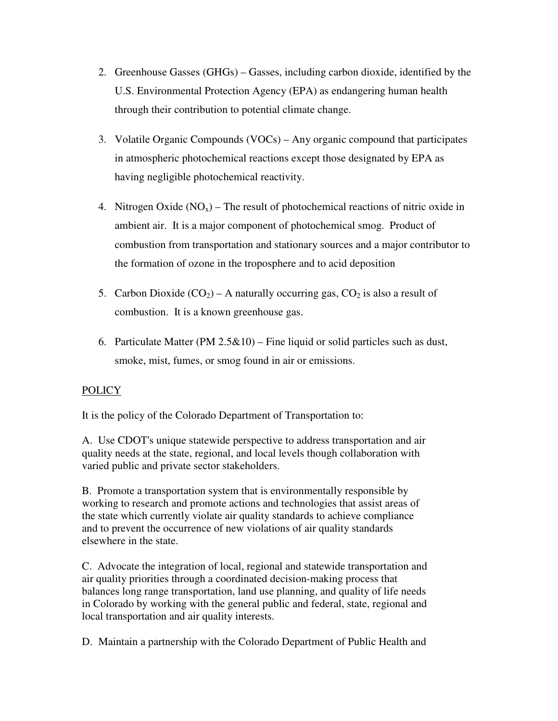- 2. Greenhouse Gasses (GHGs) Gasses, including carbon dioxide, identified by the U.S. Environmental Protection Agency (EPA) as endangering human health through their contribution to potential climate change.
- 3. Volatile Organic Compounds (VOCs) Any organic compound that participates in atmospheric photochemical reactions except those designated by EPA as having negligible photochemical reactivity.
- 4. Nitrogen Oxide  $(NO_x)$  The result of photochemical reactions of nitric oxide in ambient air. It is a major component of photochemical smog. Product of combustion from transportation and stationary sources and a major contributor to the formation of ozone in the troposphere and to acid deposition
- 5. Carbon Dioxide  $(CO_2)$  A naturally occurring gas,  $CO_2$  is also a result of combustion. It is a known greenhouse gas.
- 6. Particulate Matter (PM  $2.5\&10$ ) Fine liquid or solid particles such as dust, smoke, mist, fumes, or smog found in air or emissions.

## **POLICY**

It is the policy of the Colorado Department of Transportation to:

A. Use CDOT's unique statewide perspective to address transportation and air quality needs at the state, regional, and local levels though collaboration with varied public and private sector stakeholders.

B. Promote a transportation system that is environmentally responsible by working to research and promote actions and technologies that assist areas of the state which currently violate air quality standards to achieve compliance and to prevent the occurrence of new violations of air quality standards elsewhere in the state.

C. Advocate the integration of local, regional and statewide transportation and air quality priorities through a coordinated decision-making process that balances long range transportation, land use planning, and quality of life needs in Colorado by working with the general public and federal, state, regional and local transportation and air quality interests.

D. Maintain a partnership with the Colorado Department of Public Health and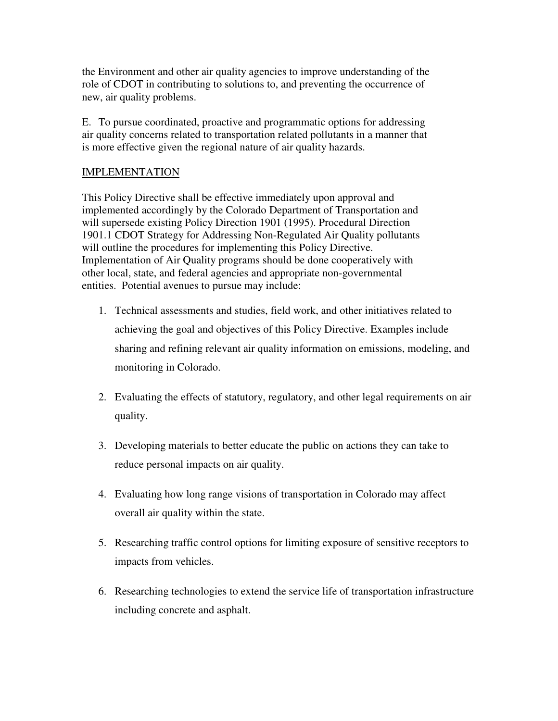the Environment and other air quality agencies to improve understanding of the role of CDOT in contributing to solutions to, and preventing the occurrence of new, air quality problems.

E. To pursue coordinated, proactive and programmatic options for addressing air quality concerns related to transportation related pollutants in a manner that is more effective given the regional nature of air quality hazards.

## IMPLEMENTATION

This Policy Directive shall be effective immediately upon approval and implemented accordingly by the Colorado Department of Transportation and will supersede existing Policy Direction 1901 (1995). Procedural Direction 1901.1 CDOT Strategy for Addressing Non-Regulated Air Quality pollutants will outline the procedures for implementing this Policy Directive. Implementation of Air Quality programs should be done cooperatively with other local, state, and federal agencies and appropriate non-governmental entities. Potential avenues to pursue may include:

- 1. Technical assessments and studies, field work, and other initiatives related to achieving the goal and objectives of this Policy Directive. Examples include sharing and refining relevant air quality information on emissions, modeling, and monitoring in Colorado.
- 2. Evaluating the effects of statutory, regulatory, and other legal requirements on air quality.
- 3. Developing materials to better educate the public on actions they can take to reduce personal impacts on air quality.
- 4. Evaluating how long range visions of transportation in Colorado may affect overall air quality within the state.
- 5. Researching traffic control options for limiting exposure of sensitive receptors to impacts from vehicles.
- 6. Researching technologies to extend the service life of transportation infrastructure including concrete and asphalt.